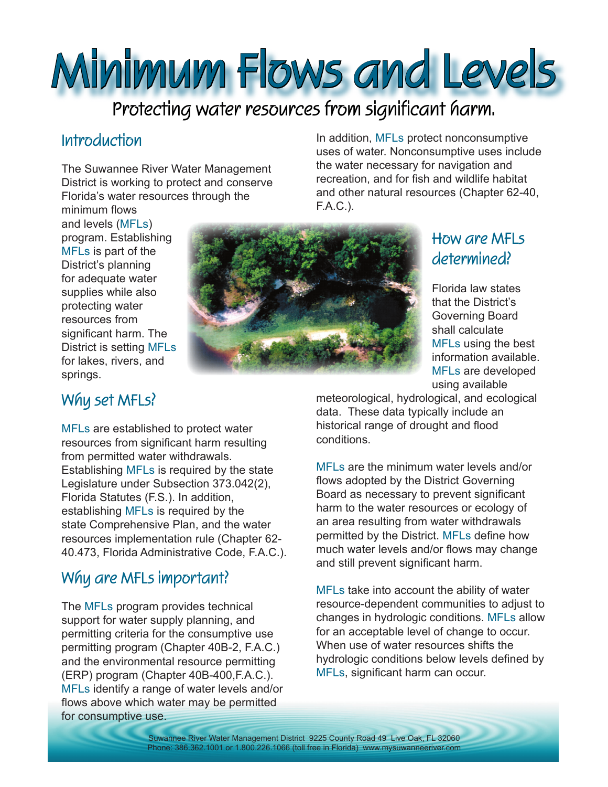# **Minimum Flows and Levels**

# **Protecting water resources from significant harm.**

### **Introduction**

The Suwannee River Water Management District is working to protect and conserve Florida's water resources through the

minimum flows and levels (MFLs) program. Establishing MFLs is part of the District's planning for adequate water supplies while also protecting water resources from significant harm. The District is setting MFLs for lakes, rivers, and springs.



In addition, MFLs protect nonconsumptive uses of water. Nonconsumptive uses include the water necessary for navigation and recreation, and for fish and wildlife habitat and other natural resources (Chapter 62-40, F.A.C.).

# **How are MFLs determined?**

Florida law states that the District's Governing Board shall calculate MFLs using the best information available. MFLs are developed using available

# **Why set MFLs?**

MFLs are established to protect water resources from significant harm resulting from permitted water withdrawals. Establishing MFLs is required by the state Legislature under Subsection 373.042(2), Florida Statutes (F.S.). In addition, establishing MFLs is required by the state Comprehensive Plan, and the water resources implementation rule (Chapter 62- 40.473, Florida Administrative Code, F.A.C.).

#### **Why are MFLs important?**

The MFLs program provides technical support for water supply planning, and permitting criteria for the consumptive use permitting program (Chapter 40B-2, F.A.C.) and the environmental resource permitting (ERP) program (Chapter 40B-400,F.A.C.). MFLs identify a range of water levels and/or flows above which water may be permitted for consumptive use.

meteorological, hydrological, and ecological data. These data typically include an historical range of drought and flood conditions.

MFLs are the minimum water levels and/or flows adopted by the District Governing Board as necessary to prevent significant harm to the water resources or ecology of an area resulting from water withdrawals permitted by the District. MFLs define how much water levels and/or flows may change and still prevent significant harm.

MFLs take into account the ability of water resource-dependent communities to adjust to changes in hydrologic conditions. MFLs allow for an acceptable level of change to occur. When use of water resources shifts the hydrologic conditions below levels defined by MFLs, significant harm can occur.

Suwannee River Water Management District 9225 County Road 49 Live Oak, FL 32060 Phone: 386.362.1001 or 1.800.226.1066 (toll free in Florida) www.mysuwanneeriver.com